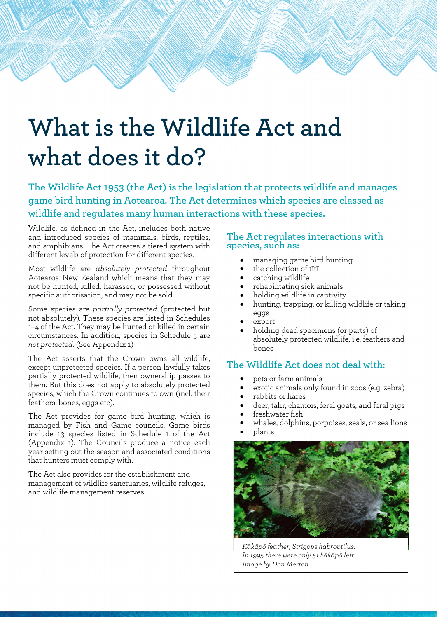# **What is the Wildlife Act and what does it do?**

**The Wildlife Act 1953 (the Act) is the legislation that protects wildlife and manages game bird hunting in Aotearoa. The Act determines which species are classed as wildlife and regulates many human interactions with these species.**

Wildlife, as defined in the Act, includes both native and introduced species of mammals, birds, reptiles, and amphibians. The Act creates a tiered system with different levels of protection for different species.

Most wildlife are *absolutely protected* throughout Aotearoa New Zealand which means that they may not be hunted, killed, harassed, or possessed without specific authorisation, and may not be sold.

Some species are *partially protected* (protected but not absolutely). These species are listed in Schedules 1–4 of the Act. They may be hunted or killed in certain circumstances. In addition, species in Schedule 5 are *not protected*. (See Appendix 1)

The Act asserts that the Crown owns all wildlife, except unprotected species. If a person lawfully takes partially protected wildlife, then ownership passes to them. But this does not apply to absolutely protected species, which the Crown continues to own (incl. their feathers, bones, eggs etc).

The Act provides for game bird hunting, which is managed by Fish and Game councils. Game birds include 13 species listed in Schedule 1 of the Act (Appendix 1). The Councils produce a notice each year setting out the season and associated conditions that hunters must comply with.

The Act also provides for the establishment and management of wildlife sanctuaries, wildlife refuges, and wildlife management reserves.

#### **The Act regulates interactions with species, such as:**

- managing game bird hunting
- the collection of tītī
- catching wildlife
- rehabilitating sick animals
- holding wildlife in captivity
- hunting, trapping, or killing wildlife or taking eggs
- export
- holding dead specimens (or parts) of absolutely protected wildlife, i.e. feathers and bones

#### **The Wildlife Act does not deal with:**

- pets or farm animals
- exotic animals only found in zoos (e.g. zebra)
- rabbits or hares
- deer, tahr, chamois, feral goats, and feral pigs
- freshwater fish
- whales, dolphins, porpoises, seals, or sea lions
- plants



*Kākāpō feather, Strigops habroptilus. In 1995 there were only 51 kākāpō left. Image by Don Merton*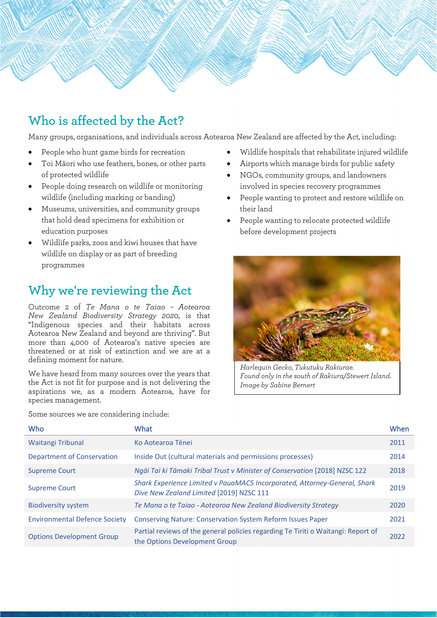

## **Who is affected by the Act?**

Many groups, organisations, and individuals across Aotearoa New Zealand are affected by the Act, including:

- People who hunt game birds for recreation
- Toi Māori who use feathers, bones, or other parts of protected wildlife
- People doing research on wildlife or monitoring wildlife (including marking or banding)
- Museums, universities, and community groups that hold dead specimens for exhibition or education purposes
- Wildlife parks, zoos and kiwi houses that have wildlife on display or as part of breeding programmes

## **Why we're reviewing the Act**

Outcome 2 of *[Te Mana o te Taiao –](https://www.doc.govt.nz/nature/biodiversity/aotearoa-new-zealand-biodiversity-strategy/te-mana-o-te-taiao-summary/) Aotearoa [New Zealand Biodiversity Strategy](https://www.doc.govt.nz/nature/biodiversity/aotearoa-new-zealand-biodiversity-strategy/te-mana-o-te-taiao-summary/) 2020*, is that "Indigenous species and their habitats across Aotearoa New Zealand and beyond are thriving". But more than 4,000 of Aotearoa's native species are threatened or at risk of extinction and we are at a defining moment for nature.

We have heard from many sources over the years that the Act is not fit for purpose and is not delivering the aspirations we, as a modern Aotearoa, have for species management.

• Wildlife hospitals that rehabilitate injured wildlife

- Airports which manage birds for public safety
- NGOs, community groups, and landowners involved in species recovery programmes
- People wanting to protect and restore wildlife on their land
- People wanting to relocate protected wildlife before development projects



*Harlequin Gecko, Tukutuku Rakiurae. Found only in the south of Rakiura/Stewert Island. Image by Sabine Bernert*

| <b>Who</b>                           | What                                                                                                                  | When |
|--------------------------------------|-----------------------------------------------------------------------------------------------------------------------|------|
| Waitangi Tribunal                    | Ko Aotearoa Tēnei                                                                                                     | 2011 |
| <b>Department of Conservation</b>    | Inside Out (cultural materials and permissions processes)                                                             | 2014 |
| <b>Supreme Court</b>                 | Ngāi Tai ki Tāmaki Tribal Trust v Minister of Conservation [2018] NZSC 122                                            | 2018 |
| <b>Supreme Court</b>                 | Shark Experience Limited v PauaMAC5 Incorporated, Attorney-General, Shark<br>Dive New Zealand Limited [2019] NZSC 111 | 2019 |
| <b>Biodiversity system</b>           | Te Mana o te Taiao - Aotearoa New Zealand Biodiversity Strategy                                                       | 2020 |
| <b>Environmental Defence Society</b> | <b>Conserving Nature: Conservation System Reform Issues Paper</b>                                                     | 2021 |
| <b>Options Development Group</b>     | Partial reviews of the general policies regarding Te Tiriti o Waitangi: Report of<br>the Options Development Group    | 2022 |

Some sources we are considering include: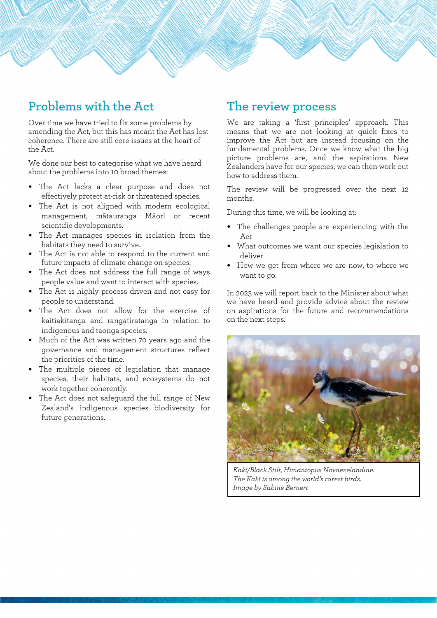## **Problems with the Act**

Over time we have tried to fix some problems by amending the Act, but this has meant the Act has lost coherence. There are still core issues at the heart of the Act.

We done our best to categorise what we have heard about the problems into 10 broad themes:

- The Act lacks a clear purpose and does not effectively protect at-risk or threatened species.
- The Act is not aligned with modern ecological management, mātauranga Māori or recent scientific developments.
- The Act manages species in isolation from the habitats they need to survive.
- The Act is not able to respond to the current and future impacts of climate change on species.
- The Act does not address the full range of ways people value and want to interact with species.
- The Act is highly process driven and not easy for people to understand.
- The Act does not allow for the exercise of kaitiakitanga and rangatiratanga in relation to indigenous and taonga species.
- Much of the Act was written 70 years ago and the governance and management structures reflect the priorities of the time.
- The multiple pieces of legislation that manage species, their habitats, and ecosystems do not work together coherently.
- The Act does not safeguard the full range of New Zealand's indigenous species biodiversity for future generations.

### **The review process**

We are taking a 'first principles' approach. This means that we are not looking at quick fixes to improve the Act but are instead focusing on the fundamental problems. Once we know what the big picture problems are, and the aspirations New Zealanders have for our species, we can then work out how to address them.

The review will be progressed over the next 12 months.

During this time, we will be looking at:

- The challenges people are experiencing with the **Act**
- What outcomes we want our species legislation to deliver
- How we get from where we are now, to where we want to go.

In 2023 we will report back to the Minister about what we have heard and provide advice about the review on aspirations for the future and recommendations on the next steps.



*Kakī/Black Stilt, Himantopus Novaezelandiae. The Kakī is among the world's rarest birds. Image by Sabine Bernert*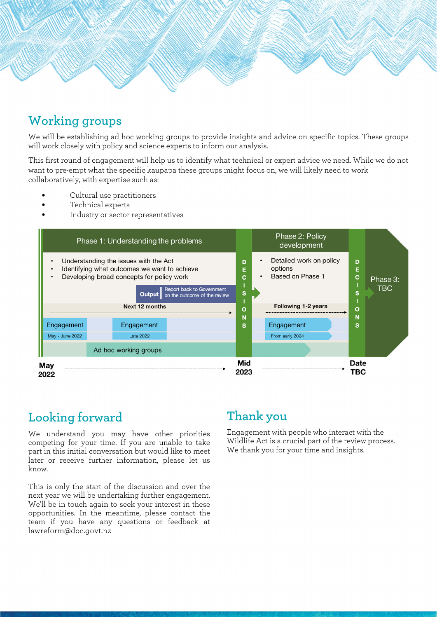

## **Working groups**

We will be establishing ad hoc working groups to provide insights and advice on specific topics. These groups will work closely with policy and science experts to inform our analysis.

This first round of engagement will help us to identify what technical or expert advice we need. While we do not want to pre-empt what the specific kaupapa these groups might focus on, we will likely need to work collaboratively, with expertise such as:

- Cultural use practitioners
- Technical experts
- Industry or sector representatives



## **Looking forward**

We understand you may have other priorities competing for your time. If you are unable to take part in this initial conversation but would like to meet later or receive further information, please let us know.

This is only the start of the discussion and over the next year we will be undertaking further engagement. We'll be in touch again to seek your interest in these opportunities. In the meantime, please contact the team if you have any questions or feedback at [lawreform@doc.govt.nz](mailto:lawreform@doc.govt.nz)

## **Thank you**

Engagement with people who interact with the Wildlife Act is a crucial part of the review process. We thank you for your time and insights.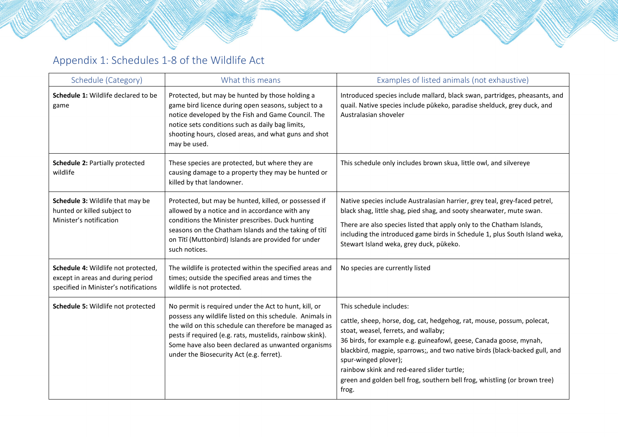# Appendix 1: Schedules 1-8 of the Wildlife Act

| Schedule (Category)                                                                                               | What this means                                                                                                                                                                                                                                                                                                                          | Examples of listed animals (not exhaustive)                                                                                                                                                                                                                                                                                                                                                                                                               |
|-------------------------------------------------------------------------------------------------------------------|------------------------------------------------------------------------------------------------------------------------------------------------------------------------------------------------------------------------------------------------------------------------------------------------------------------------------------------|-----------------------------------------------------------------------------------------------------------------------------------------------------------------------------------------------------------------------------------------------------------------------------------------------------------------------------------------------------------------------------------------------------------------------------------------------------------|
| <b>Schedule 1: Wildlife declared to be</b><br>game                                                                | Protected, but may be hunted by those holding a<br>game bird licence during open seasons, subject to a<br>notice developed by the Fish and Game Council. The<br>notice sets conditions such as daily bag limits,<br>shooting hours, closed areas, and what guns and shot<br>may be used.                                                 | Introduced species include mallard, black swan, partridges, pheasants, and<br>quail. Native species include pūkeko, paradise shelduck, grey duck, and<br>Australasian shoveler                                                                                                                                                                                                                                                                            |
| Schedule 2: Partially protected<br>wildlife                                                                       | These species are protected, but where they are<br>causing damage to a property they may be hunted or<br>killed by that landowner.                                                                                                                                                                                                       | This schedule only includes brown skua, little owl, and silvereye                                                                                                                                                                                                                                                                                                                                                                                         |
| Schedule 3: Wildlife that may be<br>hunted or killed subject to<br>Minister's notification                        | Protected, but may be hunted, killed, or possessed if<br>allowed by a notice and in accordance with any<br>conditions the Minister prescribes. Duck hunting<br>seasons on the Chatham Islands and the taking of tītī<br>on Tītī (Muttonbird) Islands are provided for under<br>such notices.                                             | Native species include Australasian harrier, grey teal, grey-faced petrel,<br>black shag, little shag, pied shag, and sooty shearwater, mute swan.<br>There are also species listed that apply only to the Chatham Islands,<br>including the introduced game birds in Schedule 1, plus South Island weka,<br>Stewart Island weka, grey duck, pūkeko.                                                                                                      |
| Schedule 4: Wildlife not protected,<br>except in areas and during period<br>specified in Minister's notifications | The wildlife is protected within the specified areas and<br>times; outside the specified areas and times the<br>wildlife is not protected.                                                                                                                                                                                               | No species are currently listed                                                                                                                                                                                                                                                                                                                                                                                                                           |
| Schedule 5: Wildlife not protected                                                                                | No permit is required under the Act to hunt, kill, or<br>possess any wildlife listed on this schedule. Animals in<br>the wild on this schedule can therefore be managed as<br>pests if required (e.g. rats, mustelids, rainbow skink).<br>Some have also been declared as unwanted organisms<br>under the Biosecurity Act (e.g. ferret). | This schedule includes:<br>cattle, sheep, horse, dog, cat, hedgehog, rat, mouse, possum, polecat,<br>stoat, weasel, ferrets, and wallaby;<br>36 birds, for example e.g. guineafowl, geese, Canada goose, mynah,<br>blackbird, magpie, sparrows;, and two native birds (black-backed gull, and<br>spur-winged plover);<br>rainbow skink and red-eared slider turtle;<br>green and golden bell frog, southern bell frog, whistling (or brown tree)<br>frog. |